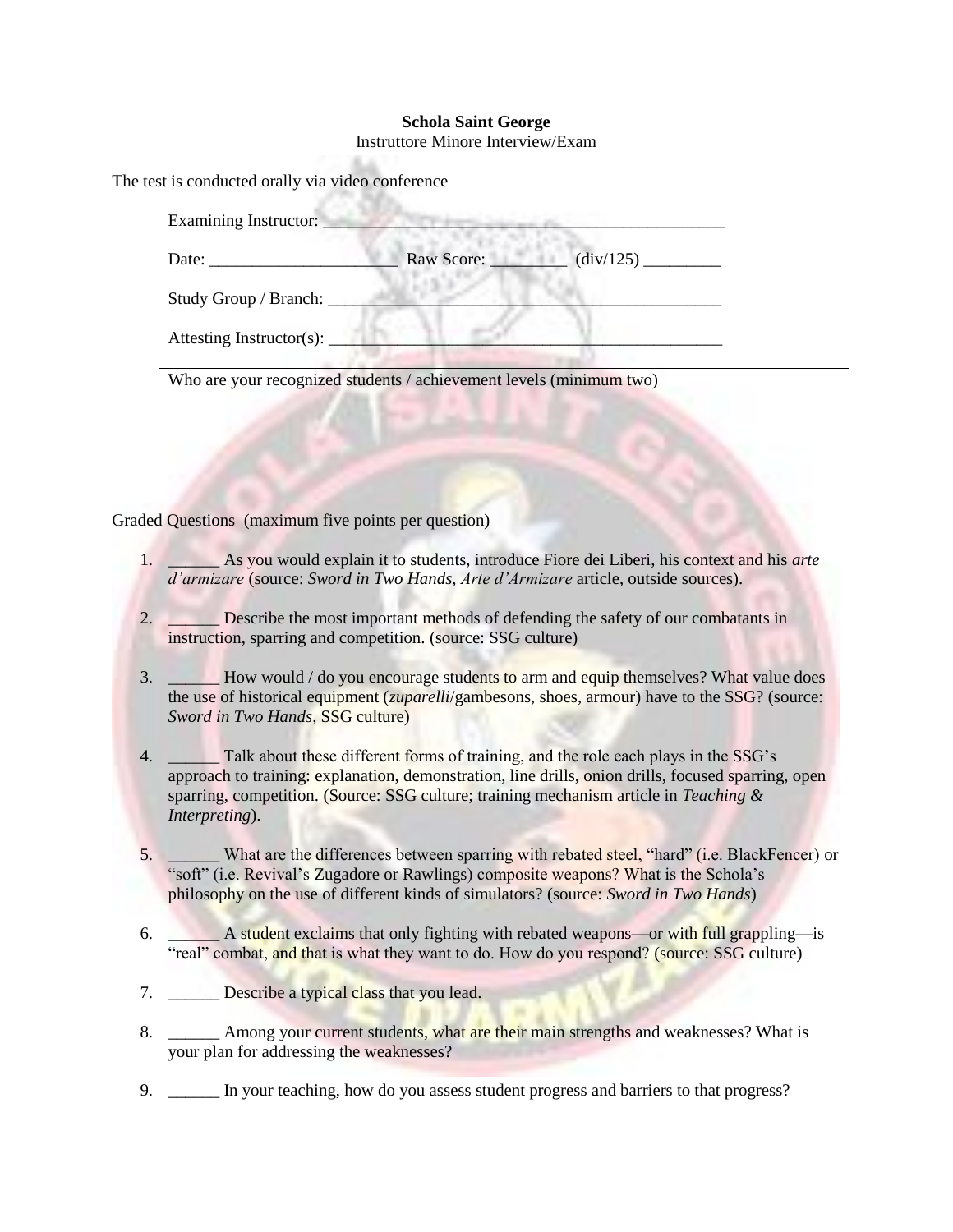## **Schola Saint George**

Instruttore Minore Interview/Exam

ALC:

|                          | Raw Score: $\qquad \qquad$ $(\text{div}/125)$ |  |
|--------------------------|-----------------------------------------------|--|
| Study Group / Branch:    |                                               |  |
| Attesting Instructor(s): |                                               |  |

Graded Questions (maximum five points per question)

- 1. \_\_\_\_\_\_ As you would explain it to students, introduce Fiore dei Liberi, his context and his *arte d'armizare* (source: *Sword in Two Hands*, *Arte d'Armizare* article, outside sources).
- 2. Describe the most important methods of defending the safety of our combatants in instruction, sparring and competition. (source: SSG culture)
- 3. \_\_\_\_\_\_ How would / do you encourage students to arm and equip themselves? What value does the use of historical equipment (*zuparelli*/gambesons, shoes, armour) have to the SSG? (source: *Sword in Two Hands*, SSG culture)
- 4. \_\_\_\_\_\_ Talk about these different forms of training, and the role each plays in the SSG's approach to training: explanation, demonstration, line drills, onion drills, focused sparring, open sparring, competition. (Source: SSG culture; training mechanism article in *Teaching & Interpreting*).
- 5. \_\_\_\_\_\_ What are the differences between sparring with rebated steel, "hard" (i.e. BlackFencer) or "soft" (i.e. Revival's Zugadore or Rawlings) composite weapons? What is the Schola's philosophy on the use of different kinds of simulators? (source: *Sword in Two Hands*)
- 6. \_\_\_\_\_\_ A student exclaims that only fighting with rebated weapons—or with full grappling—is "real" combat, and that is what they want to do. How do you respond? (source: SSG culture)
- 7. Describe a typical class that you lead.
- 8. \_\_\_\_\_\_ Among your current students, what are their main strengths and weaknesses? What is your plan for addressing the weaknesses?
- 9. \_\_\_\_\_\_ In your teaching, how do you assess student progress and barriers to that progress?